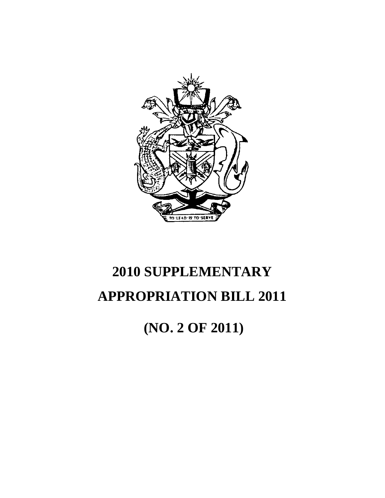

 **(NO. 2 OF 2011)**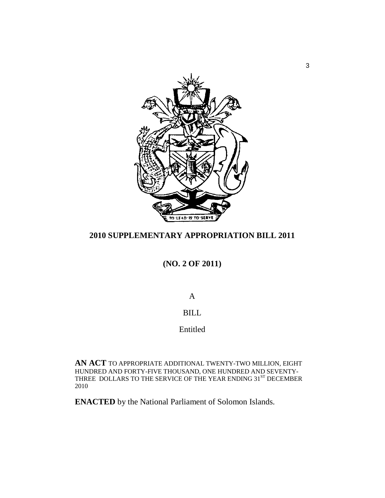

**(NO. 2 OF 2011)** 

A

# BILL

# Entitled

**AN ACT** TO APPROPRIATE ADDITIONAL TWENTY-TWO MILLION, EIGHT HUNDRED AND FORTY-FIVE THOUSAND, ONE HUNDRED AND SEVENTY-THREE DOLLARS TO THE SERVICE OF THE YEAR ENDING  $31^\mathrm{ST}$  DECEMBER 2010

**ENACTED** by the National Parliament of Solomon Islands.

3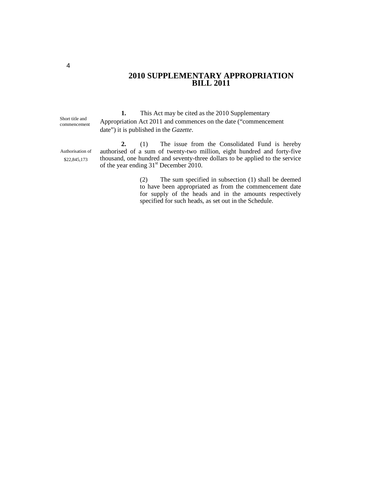Short title and commencement

Authorisation of \$22,845,173

**1.** This Act may be cited as the 2010 Supplementary Appropriation Act 2011 and commences on the date ("commencement date") it is published in the *Gazette*.

**2.** (1) The issue from the Consolidated Fund is hereby authorised of a sum of twenty-two million, eight hundred and forty-five thousand, one hundred and seventy-three dollars to be applied to the service of the year ending 31<sup>st</sup> December 2010.

> (2) The sum specified in subsection (1) shall be deemed to have been appropriated as from the commencement date for supply of the heads and in the amounts respectively specified for such heads, as set out in the Schedule.

4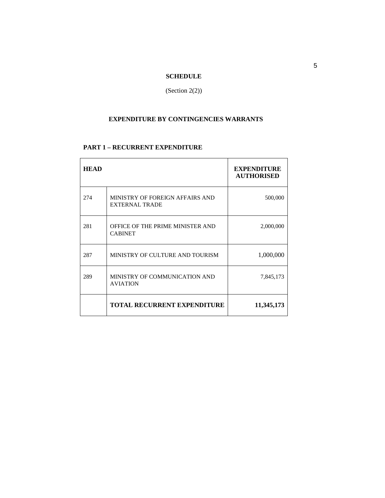# **SCHEDULE**

(Section 2(2))

# **EXPENDITURE BY CONTINGENCIES WARRANTS**

# **PART 1 – RECURRENT EXPENDITURE**

| <b>HEAD</b> |                                                          | <b>EXPENDITURE</b><br><b>AUTHORISED</b> |
|-------------|----------------------------------------------------------|-----------------------------------------|
| 274         | MINISTRY OF FOREIGN AFFAIRS AND<br><b>EXTERNAL TRADE</b> | 500,000                                 |
| 281         | OFFICE OF THE PRIME MINISTER AND<br><b>CABINET</b>       | 2,000,000                               |
| 287         | MINISTRY OF CULTURE AND TOURISM                          | 1,000,000                               |
| 289         | MINISTRY OF COMMUNICATION AND<br><b>AVIATION</b>         | 7,845,173                               |
|             | <b>TOTAL RECURRENT EXPENDITURE</b>                       | 11,345,173                              |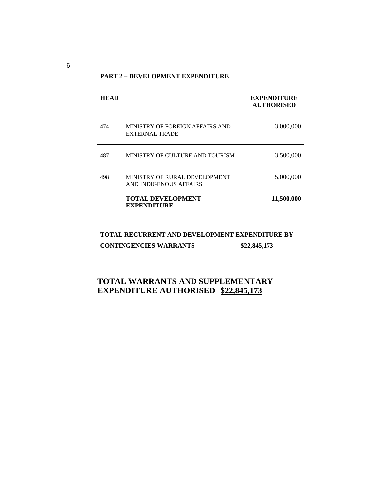# **PART 2 – DEVELOPMENT EXPENDITURE**

| <b>HEAD</b> |                                                         | <b>EXPENDITURE</b><br><b>AUTHORISED</b> |
|-------------|---------------------------------------------------------|-----------------------------------------|
| 474         | MINISTRY OF FOREIGN AFFAIRS AND<br>EXTERNAL TRADE       | 3,000,000                               |
| 487         | MINISTRY OF CULTURE AND TOURISM                         | 3,500,000                               |
| 498         | MINISTRY OF RURAL DEVELOPMENT<br>AND INDIGENOUS AFFAIRS | 5,000,000                               |
|             | <b>TOTAL DEVELOPMENT</b><br><b>EXPENDITURE</b>          | 11,500,000                              |

#### **TOTAL RECURRENT AND DEVELOPMENT EXPENDITURE BY**

# **CONTINGENCIES WARRANTS \$22,845,173**

# **TOTAL WARRANTS AND SUPPLEMENTARY EXPENDITURE AUTHORISED \$22,845,173**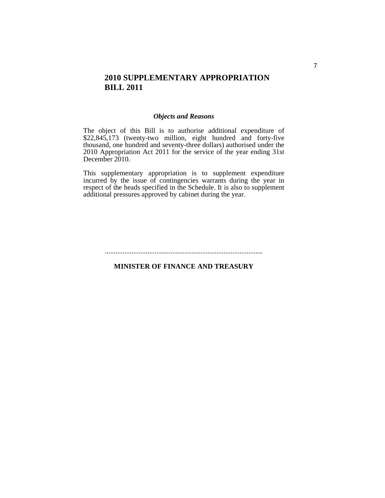# *Objects and Reasons*

The object of this Bill is to authorise additional expenditure of \$22,845,173 (twenty-two million, eight hundred and forty-five thousand, one hundred and seventy-three dollars) authorised under the 2010 Appropriation Act 2011 for the service of the year ending 31st December 2010.

This supplementary appropriation is to supplement expenditure incurred by the issue of contingencies warrants during the year in respect of the heads specified in the Schedule. It is also to supplement additional pressures approved by cabinet during the year.

#### .........................................................................................

# **MINISTER OF FINANCE AND TREASURY**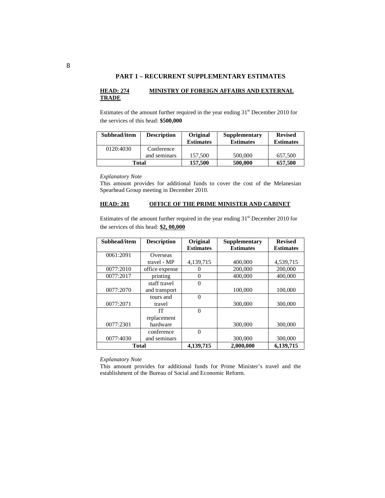#### **HEAD: 274 MINISTRY OF FOREIGN AFFAIRS AND EXTERNAL TRADE**

Estimates of the amount further required in the year ending  $31<sup>st</sup>$  December 2010 for the services of this head: **\$500,000**

| Subhead/item | <b>Description</b> | <b>Original</b><br><b>Estimates</b> | <b>Supplementary</b><br><b>Estimates</b> | <b>Revised</b><br><b>Estimates</b> |
|--------------|--------------------|-------------------------------------|------------------------------------------|------------------------------------|
| 0120:4030    | Conference         |                                     |                                          |                                    |
|              | and seminars       | 157,500                             | 500,000                                  | 657,500                            |
| Total        |                    | 157,500                             | 500,000                                  | 657,500                            |

*Explanatory Note* 

This amount provides for additional funds to cover the cost of the Melanesian Spearhead Group meeting in December 2010.

# **HEAD: 281 OFFICE OF THE PRIME MINISTER AND CABINET**

Estimates of the amount further required in the year ending  $31<sup>st</sup>$  December 2010 for the services of this head: **\$2, 00,000**

| Subhead/item | <b>Description</b> | Original<br><b>Estimates</b> | Supplementary<br><b>Estimates</b> | <b>Revised</b><br><b>Estimates</b> |
|--------------|--------------------|------------------------------|-----------------------------------|------------------------------------|
| 0061:2091    | Overseas           |                              |                                   |                                    |
|              | travel - MP        | 4,139,715                    | 400,000                           | 4,539,715                          |
| 0077:2010    | office expense     |                              | 200,000                           | 200,000                            |
| 0077:2017    | printing           | $\theta$                     | 400,000                           | 400,000                            |
|              | staff travel       | $\theta$                     |                                   |                                    |
| 0077:2070    | and transport      |                              | 100,000                           | 100,000                            |
|              | tours and          | $\theta$                     |                                   |                                    |
| 0077:2071    | travel             |                              | 300,000                           | 300,000                            |
|              | IТ                 | $\Omega$                     |                                   |                                    |
|              | replacement        |                              |                                   |                                    |
| 0077:2301    | hardware           |                              | 300,000                           | 300,000                            |
|              | conference         | $\Omega$                     |                                   |                                    |
| 0077:4030    | and seminars       |                              | 300,000                           | 300,000                            |
| <b>Total</b> |                    | 4.139.715                    | 2,000,000                         | 6,139,715                          |

*Explanatory Note* 

This amount provides for additional funds for Prime Minister's travel and the establishment of the Bureau of Social and Economic Reform.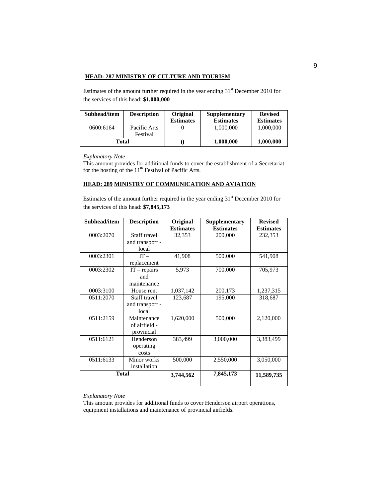#### **HEAD: 287 MINISTRY OF CULTURE AND TOURISM**

Estimates of the amount further required in the year ending  $31<sup>st</sup>$  December 2010 for the services of this head: **\$1,000,000** 

| Subhead/item | <b>Description</b>       | Original<br><b>Estimates</b> | Supplementary<br><b>Estimates</b> | <b>Revised</b><br><b>Estimates</b> |
|--------------|--------------------------|------------------------------|-----------------------------------|------------------------------------|
| 0600:6164    | Pacific Arts<br>Festival |                              | 1,000,000                         | 1,000,000                          |
| Total        |                          |                              | 1,000,000                         | 1,000,000                          |

*Explanatory Note* 

This amount provides for additional funds to cover the establishment of a Secretariat for the hosting of the  $11<sup>th</sup>$  Festival of Pacific Arts.

#### **HEAD: 289 MINISTRY OF COMMUNICATION AND AVIATION**

Estimates of the amount further required in the year ending  $31<sup>st</sup>$  December 2010 for the services of this head: **\$7,845,173** 

| Subhead/item | <b>Description</b> | Original         | <b>Supplementary</b> | <b>Revised</b>   |
|--------------|--------------------|------------------|----------------------|------------------|
|              |                    | <b>Estimates</b> | <b>Estimates</b>     | <b>Estimates</b> |
| 0003:2070    | Staff travel       | 32,353           | 200,000              | 232,353          |
|              | and transport -    |                  |                      |                  |
|              | local              |                  |                      |                  |
| 0003:2301    | $IT -$             | 41,908           | 500,000              | 541,908          |
|              | replacement        |                  |                      |                  |
| 0003:2302    | $IT$ – repairs     | 5,973            | 700,000              | 705,973          |
|              | and                |                  |                      |                  |
|              | maintenance        |                  |                      |                  |
| 0003:3100    | House rent         | 1,037,142        | 200,173              | 1,237,315        |
| 0511:2070    | Staff travel       | 123,687          | 195,000              | 318,687          |
|              | and transport -    |                  |                      |                  |
|              | local              |                  |                      |                  |
| 0511:2159    | Maintenance        | 1,620,000        | 500,000              | 2,120,000        |
|              | of airfield -      |                  |                      |                  |
|              | provincial         |                  |                      |                  |
| 0511:6121    | Henderson          | 383,499          | 3,000,000            | 3,383,499        |
|              | operating          |                  |                      |                  |
|              | costs              |                  |                      |                  |
| 0511:6133    | Minor works        | 500,000          | 2,550,000            | 3,050,000        |
|              | installation       |                  |                      |                  |
| <b>Total</b> |                    | 3,744,562        | 7,845,173            | 11,589,735       |
|              |                    |                  |                      |                  |

*Explanatory Note* 

This amount provides for additional funds to cover Henderson airport operations, equipment installations and maintenance of provincial airfields.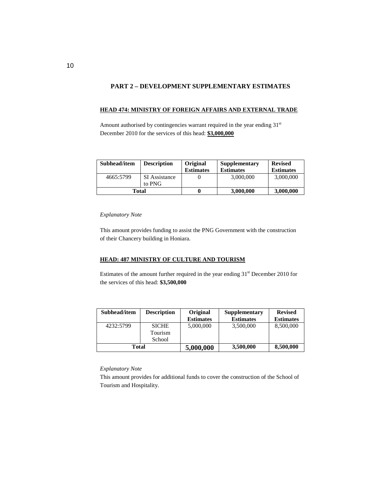## **PART 2 – DEVELOPMENT SUPPLEMENTARY ESTIMATES**

#### **HEAD 474: MINISTRY OF FOREIGN AFFAIRS AND EXTERNAL TRADE**

Amount authorised by contingencies warrant required in the year ending 31<sup>st</sup> December 2010 for the services of this head: **\$3,000,000**

| Subhead/item | <b>Description</b>      | Original         | Supplementary    | <b>Revised</b>   |
|--------------|-------------------------|------------------|------------------|------------------|
|              |                         | <b>Estimates</b> | <b>Estimates</b> | <b>Estimates</b> |
| 4665:5799    | SI Assistance<br>to PNG |                  | 3,000,000        | 3,000,000        |
| Total        |                         |                  | 3,000,000        | 3,000,000        |

#### *Explanatory Note*

This amount provides funding to assist the PNG Government with the construction of their Chancery building in Honiara.

#### **HEAD: 487 MINISTRY OF CULTURE AND TOURISM**

Estimates of the amount further required in the year ending  $31<sup>st</sup>$  December 2010 for the services of this head: **\$3,500,000** 

| Subhead/item | <b>Description</b> | <b>Original</b>  | Supplementary    | <b>Revised</b>   |
|--------------|--------------------|------------------|------------------|------------------|
|              |                    | <b>Estimates</b> | <b>Estimates</b> | <b>Estimates</b> |
| 4232:5799    | <b>SICHE</b>       | 5,000,000        | 3,500,000        | 8,500,000        |
|              | Tourism            |                  |                  |                  |
|              | School             |                  |                  |                  |
| Total        |                    | 5,000,000        | 3,500,000        | 8,500,000        |

#### *Explanatory Note*

This amount provides for additional funds to cover the construction of the School of Tourism and Hospitality.